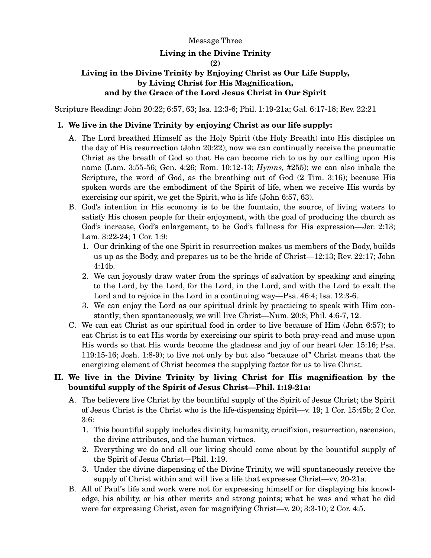### Message Three

## **Living in the Divine Trinity**

#### **(2)**

# **Living in the Divine Trinity by Enjoying Christ as Our Life Supply, by Living Christ for His Magnification, and by the Grace of the Lord Jesus Christ in Our Spirit**

Scripture Reading: John 20:22; 6:57, 63; Isa. 12:3-6; Phil. 1:19-21a; Gal. 6:17-18; Rev. 22:21

## **I. We live in the Divine Trinity by enjoying Christ as our life supply:**

- A. The Lord breathed Himself as the Holy Spirit (the Holy Breath) into His disciples on the day of His resurrection (John 20:22); now we can continually receive the pneumatic Christ as the breath of God so that He can become rich to us by our calling upon His name (Lam. 3:55-56; Gen. 4:26; Rom. 10:12-13; *Hymns,* #255); we can also inhale the Scripture, the word of God, as the breathing out of God (2 Tim. 3:16); because His spoken words are the embodiment of the Spirit of life, when we receive His words by exercising our spirit, we get the Spirit, who is life (John 6:57, 63).
- B. God's intention in His economy is to be the fountain, the source, of living waters to satisfy His chosen people for their enjoyment, with the goal of producing the church as God's increase, God's enlargement, to be God's fullness for His expression—Jer. 2:13; Lam. 3:22-24; 1 Cor. 1:9:
	- 1. Our drinking of the one Spirit in resurrection makes us members of the Body, builds us up as the Body, and prepares us to be the bride of Christ—12:13; Rev. 22:17; John 4:14b.
	- 2. We can joyously draw water from the springs of salvation by speaking and singing to the Lord, by the Lord, for the Lord, in the Lord, and with the Lord to exalt the Lord and to rejoice in the Lord in a continuing way—Psa. 46:4; Isa. 12:3-6.
	- 3. We can enjoy the Lord as our spiritual drink by practicing to speak with Him constantly; then spontaneously, we will live Christ—Num. 20:8; Phil. 4:6-7, 12.
- C. We can eat Christ as our spiritual food in order to live because of Him (John 6:57); to eat Christ is to eat His words by exercising our spirit to both pray-read and muse upon His words so that His words become the gladness and joy of our heart (Jer. 15:16; Psa. 119:15-16; Josh. 1:8-9); to live not only by but also "because of" Christ means that the energizing element of Christ becomes the supplying factor for us to live Christ.

## **II. We live in the Divine Trinity by living Christ for His magnification by the bountiful supply of the Spirit of Jesus Christ—Phil. 1:19-21a:**

- A. The believers live Christ by the bountiful supply of the Spirit of Jesus Christ; the Spirit of Jesus Christ is the Christ who is the life-dispensing Spirit—v. 19; 1 Cor. 15:45b; 2 Cor. 3:6:
	- 1. This bountiful supply includes divinity, humanity, crucifixion, resurrection, ascension, the divine attributes, and the human virtues.
	- 2. Everything we do and all our living should come about by the bountiful supply of the Spirit of Jesus Christ—Phil. 1:19.
	- 3. Under the divine dispensing of the Divine Trinity, we will spontaneously receive the supply of Christ within and will live a life that expresses Christ—vv. 20-21a.
- B. All of Paul's life and work were not for expressing himself or for displaying his knowledge, his ability, or his other merits and strong points; what he was and what he did were for expressing Christ, even for magnifying Christ—v. 20; 3:3-10; 2 Cor. 4:5.